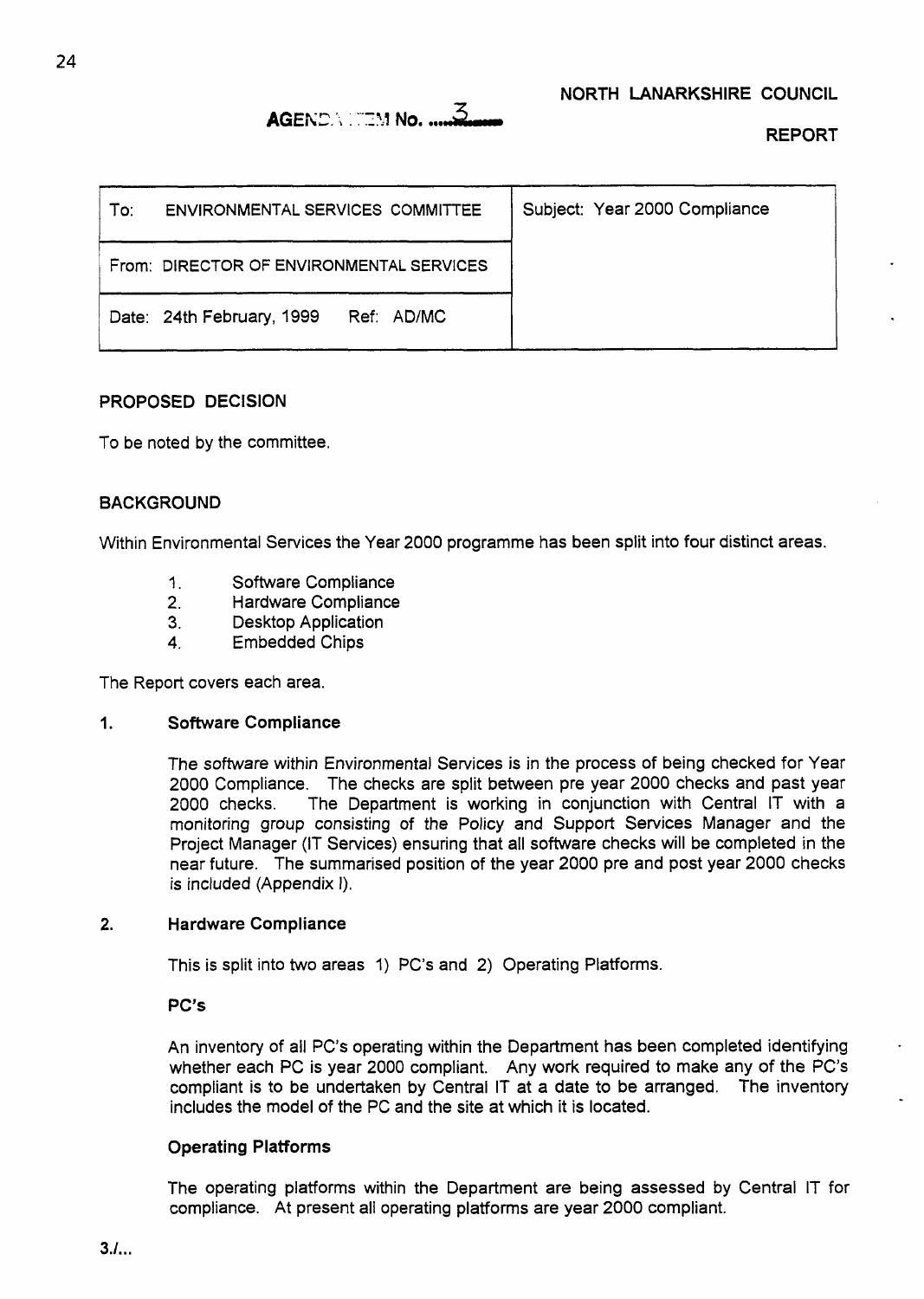# **AGENDA ITEM No. .....3.**

REPORT

| To: | ENVIRONMENTAL SERVICES COMMITTEE         | Subject: Year 2000 Compliance |
|-----|------------------------------------------|-------------------------------|
|     | From: DIRECTOR OF ENVIRONMENTAL SERVICES |                               |
|     | Date: 24th February, 1999<br>Ref: AD/MC  |                               |

#### PROPOSED DECISION

To be noted by the committee.

#### BACKGROUND

Within Environmental Services the Year 2000 programme has been split into four distinct areas.

- 1. Software Compliance
- **2.** Hardware Compliance
- Desktop Application
- **4.** Embedded Chips

The Report covers each area.

#### **1.** Software Compliance

The software within Environmental Services is in the process of being checked for Year 2000 Compliance. The checks are split between pre year 2000 checks and past year 2000 checks. The Department is working in conjunction with Central IT with a monitoring group consisting *of* the Policy and Support Services Manager and the Project Manager (IT Services) ensuring that all software checks will be completed in the near future. The summarised position of the year 2000 pre and post year 2000 checks **is** included (Appendix I).

#### **2.** Hardware Compliance

This is split into two areas 1) PC's and **2)** Operating Platforms.

PC's

An inventory of all PC's operating within the Department has been completed identifying whether each PC is year 2000 compliant. Any work required to make any of the PC's compliant is to be undertaken by Central IT at a date to be arranged. The inventory includes the model of the PC and the site at which it is located.

#### Operating PlatForms

The operating platforms within the Department are being assessed by Central **IT** for compliance. At present all operating platforms are year 2000 compliant.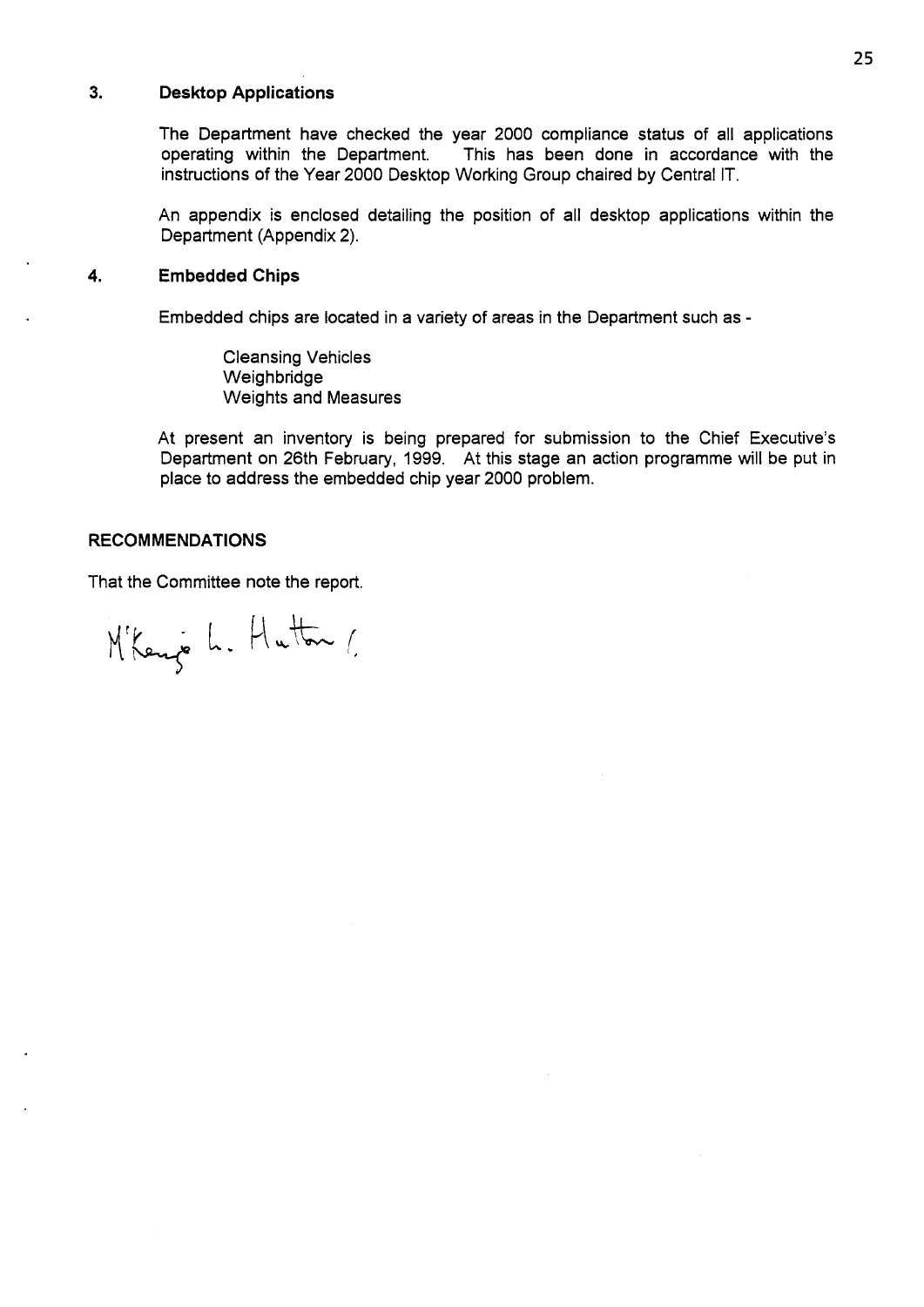#### **3. Desktop Applications**

The Department have checked the year 2000 compliance status **of** all applications operating within the Department. This has been done in accordance with the instructions **of** the Year 2000 Desktop Working Group chaired by Central IT.

An appendix is enclosed detailing the position of all desktop applications within the Department (Appendix **2).** 

#### **4. Embedded Chips**

Embedded chips are located in a variety **of** areas in the Department such as -

Cleansing Vehicles Weighbridge Weights and Measures

At present an inventory is being prepared for submission to the Chief Executive's Department on 26th February, 1999. At this stage an action programme will be put in place to address the embedded chip year 2000 problem.

#### **RECOMMENDATIONS**

That the Committee note the report.

M'Kenje L. Hutton 1.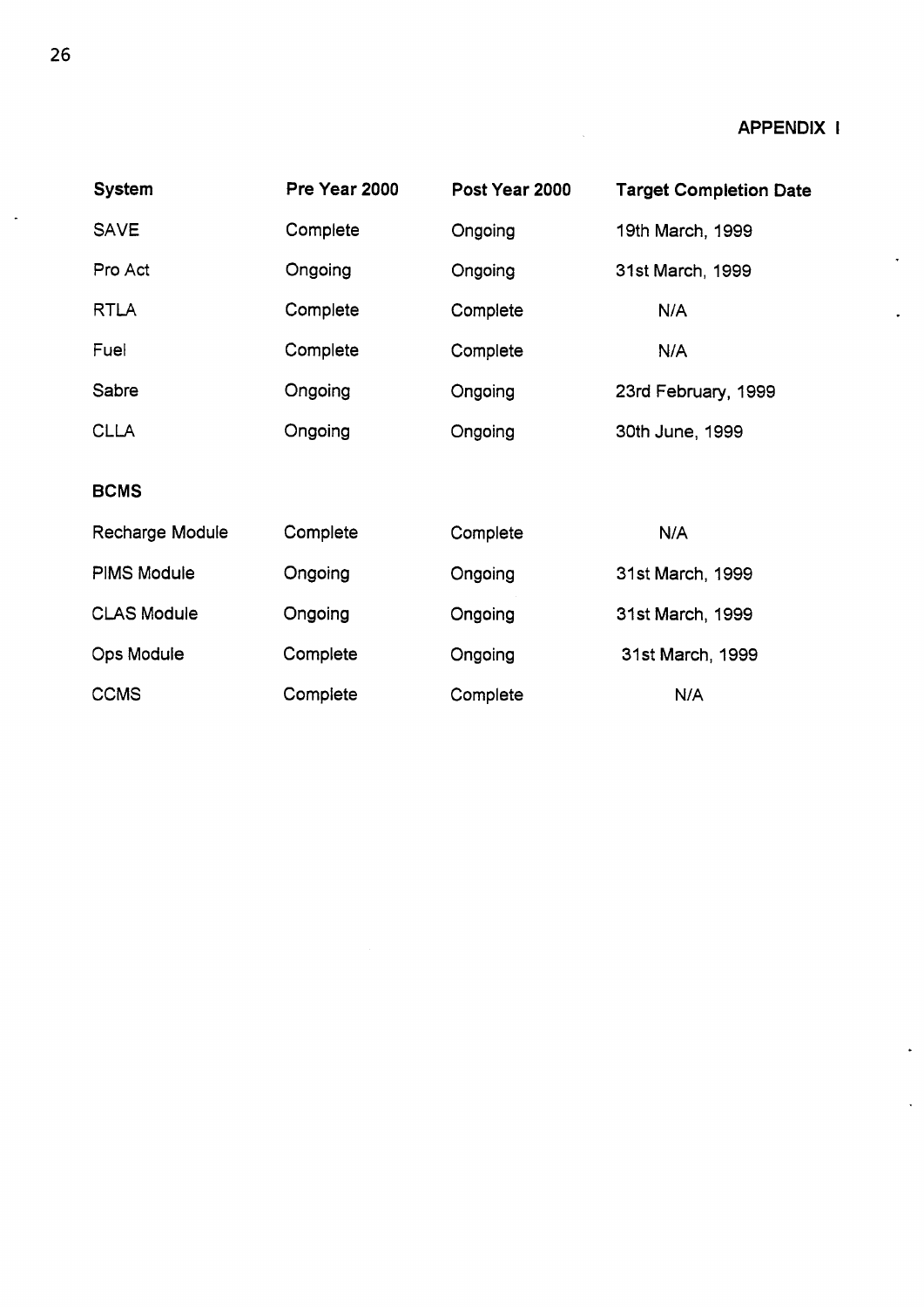$\ddot{\phantom{0}}$ 

| <b>System</b>      | Pre Year 2000 | Post Year 2000 | <b>Target Completion Date</b> |
|--------------------|---------------|----------------|-------------------------------|
| <b>SAVE</b>        | Complete      | Ongoing        | 19th March, 1999              |
| Pro Act            | Ongoing       | Ongoing        | 31st March, 1999              |
| <b>RTLA</b>        | Complete      | Complete       | N/A                           |
| Fuel               | Complete      | Complete       | N/A                           |
| Sabre              | Ongoing       | Ongoing        | 23rd February, 1999           |
| <b>CLLA</b>        | Ongoing       | Ongoing        | 30th June, 1999               |
| <b>BCMS</b>        |               |                |                               |
| Recharge Module    | Complete      | Complete       | N/A                           |
| <b>PIMS Module</b> | Ongoing       | Ongoing        | 31st March, 1999              |
| <b>CLAS Module</b> | Ongoing       | Ongoing        | 31st March, 1999              |
| <b>Ops Module</b>  | Complete      | Ongoing        | 31st March, 1999              |
| <b>CCMS</b>        | Complete      | Complete       | N/A                           |

 $\bar{\lambda}$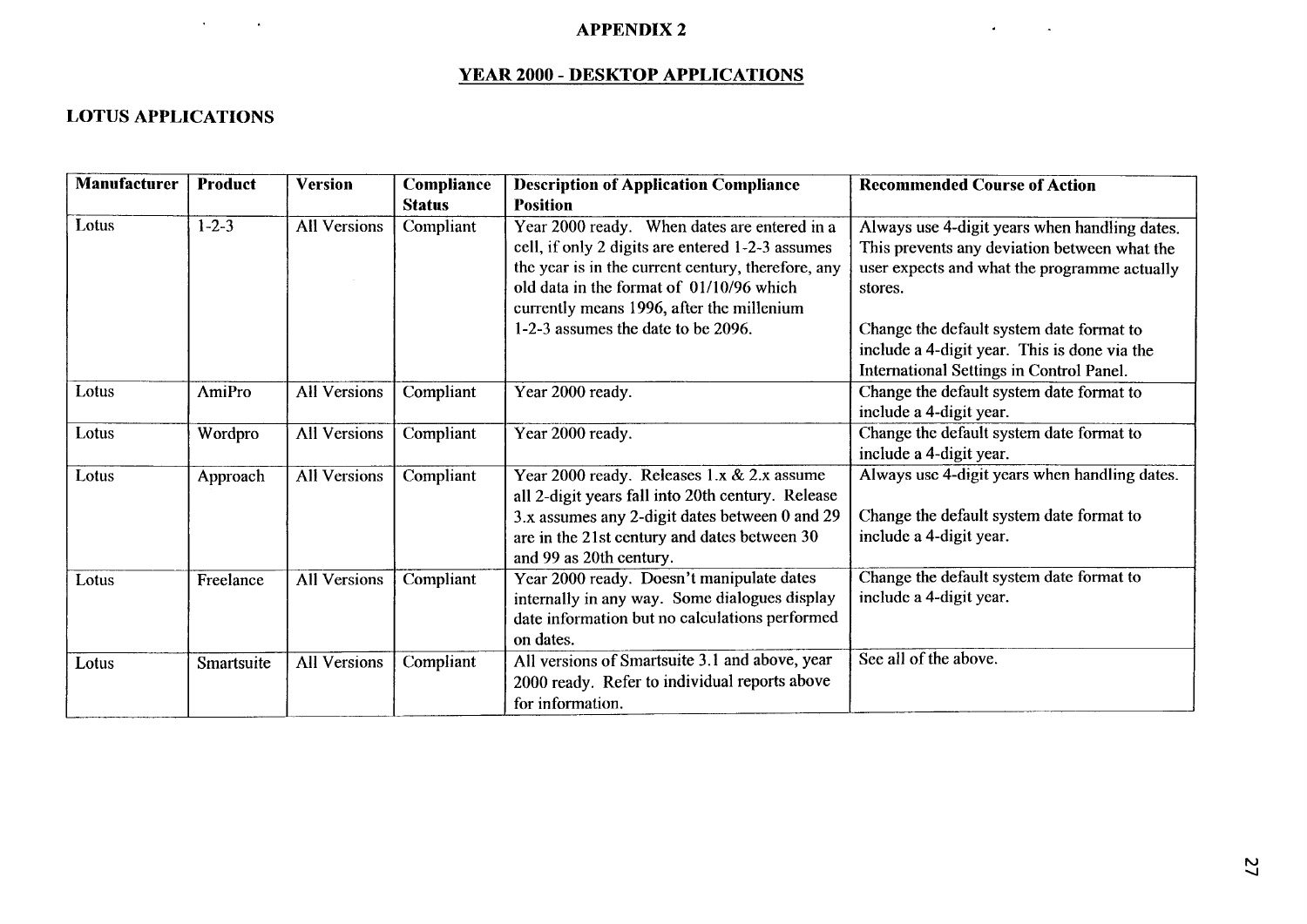#### **APPENDIX 2**

### **YEAR 2000** - **DESKTOP APPLICATIONS**

### **LOTUS APPLICATIONS**

| <b>APPENDIX 2</b><br><b>YEAR 2000 - DESKTOP APPLICATIONS</b> |                |                     |                             |                                                                                                                                                                                                                                                 |                                                                                                                                                          |  |
|--------------------------------------------------------------|----------------|---------------------|-----------------------------|-------------------------------------------------------------------------------------------------------------------------------------------------------------------------------------------------------------------------------------------------|----------------------------------------------------------------------------------------------------------------------------------------------------------|--|
| <b>LOTUS APPLICATIONS</b>                                    |                |                     |                             |                                                                                                                                                                                                                                                 |                                                                                                                                                          |  |
| <b>Manufacturer</b>                                          | <b>Product</b> | <b>Version</b>      | Compliance<br><b>Status</b> | <b>Description of Application Compliance</b><br><b>Position</b>                                                                                                                                                                                 | <b>Recommended Course of Action</b>                                                                                                                      |  |
| Lotus                                                        | $1 - 2 - 3$    | <b>All Versions</b> | Compliant                   | Year 2000 ready. When dates are entered in a<br>cell, if only 2 digits are entered 1-2-3 assumes<br>the year is in the current century, therefore, any<br>old data in the format of 01/10/96 which<br>currently means 1996, after the millenium | Always use 4-digit years when handling dates.<br>This prevents any deviation between what the<br>user expects and what the programme actually<br>stores. |  |
|                                                              |                |                     |                             | 1-2-3 assumes the date to be 2096.                                                                                                                                                                                                              | Change the default system date format to<br>include a 4-digit year. This is done via the<br>International Settings in Control Panel.                     |  |
| Lotus                                                        | <b>AmiPro</b>  | <b>All Versions</b> | Compliant                   | Year 2000 ready.                                                                                                                                                                                                                                | Change the default system date format to<br>include a 4-digit year.                                                                                      |  |
| Lotus                                                        | Wordpro        | <b>All Versions</b> | Compliant                   | Year 2000 ready.                                                                                                                                                                                                                                | Change the default system date format to<br>include a 4-digit year.                                                                                      |  |
| Lotus                                                        | Approach       | <b>All Versions</b> | Compliant                   | Year 2000 ready. Releases 1.x & 2.x assume<br>all 2-digit years fall into 20th century. Release<br>3.x assumes any 2-digit dates between 0 and 29<br>are in the 21st century and dates between 30<br>and 99 as 20th century.                    | Always use 4-digit years when handling dates.<br>Change the default system date format to<br>include a 4-digit year.                                     |  |
| Lotus                                                        | Freelance      | All Versions        | Compliant                   | Year 2000 ready. Doesn't manipulate dates<br>internally in any way. Some dialogues display<br>date information but no calculations performed<br>on dates.                                                                                       | Change the default system date format to<br>include a 4-digit year.                                                                                      |  |
| Lotus                                                        | Smartsuite     | <b>All Versions</b> | Compliant                   | All versions of Smartsuite 3.1 and above, year<br>2000 ready. Refer to individual reports above<br>for information.                                                                                                                             | See all of the above.                                                                                                                                    |  |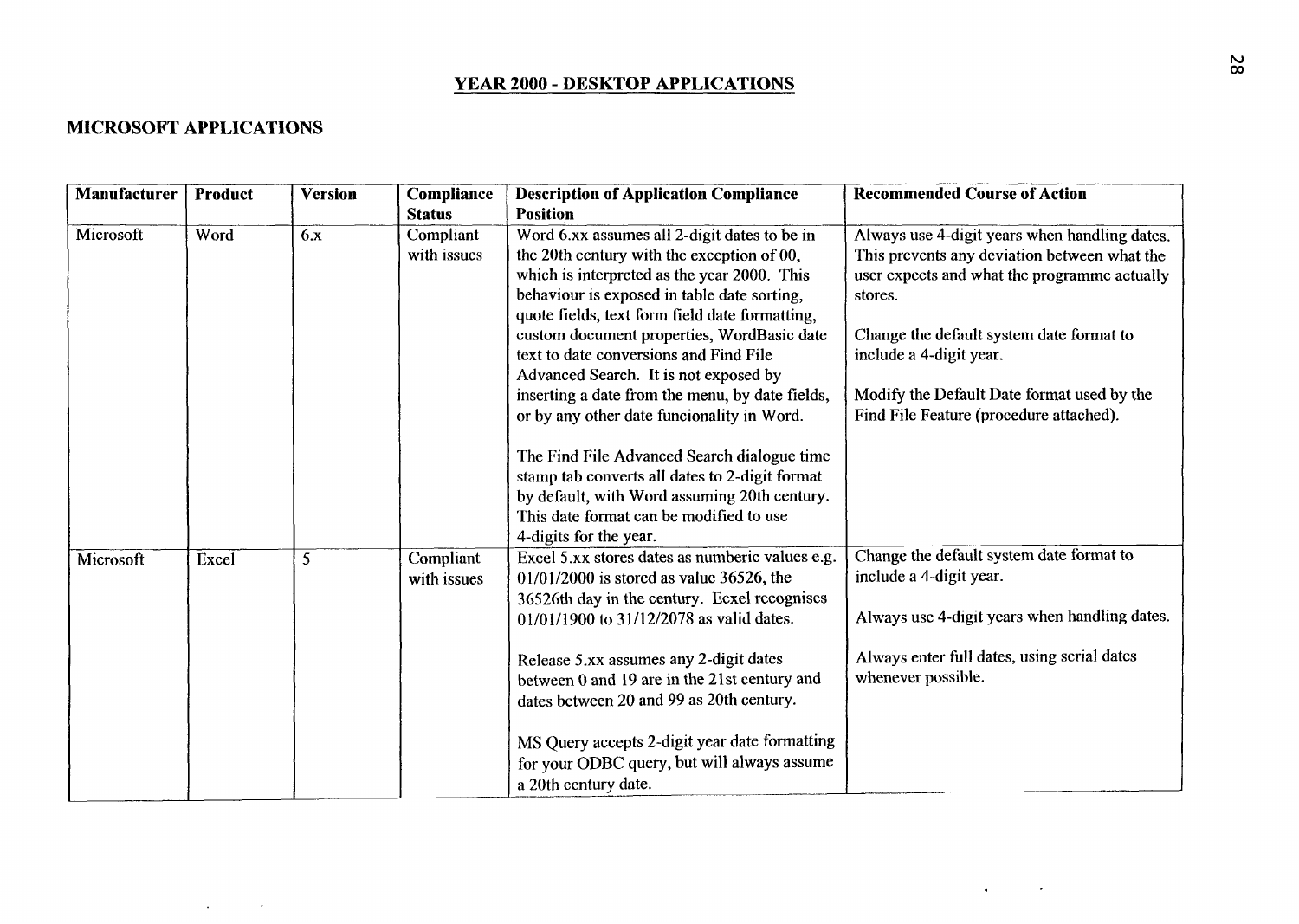# **YEAR 2000** - **DESKTOP APPLICATIONS**

### **MICROSOFT APPLICATIONS**

 $\mathcal{L}^{\mathcal{L}}(\mathcal{L}^{\mathcal{L}}(\mathcal{L}^{\mathcal{L}}(\mathcal{L}^{\mathcal{L}}(\mathcal{L}^{\mathcal{L}}(\mathcal{L}^{\mathcal{L}}(\mathcal{L}^{\mathcal{L}}(\mathcal{L}^{\mathcal{L}}(\mathcal{L}^{\mathcal{L}}(\mathcal{L}^{\mathcal{L}}(\mathcal{L}^{\mathcal{L}}(\mathcal{L}^{\mathcal{L}}(\mathcal{L}^{\mathcal{L}}(\mathcal{L}^{\mathcal{L}}(\mathcal{L}^{\mathcal{L}}(\mathcal{L}^{\mathcal{L}}(\mathcal{L}^{\mathcal{L$ 

| <b>Manufacturer</b> | <b>Product</b> | <b>Version</b> | <b>Compliance</b>        | <b>Description of Application Compliance</b>                                                                                                                                                                                                                                                                                                                                                                                                                                                                                                                                                                                                                                                       | <b>Recommended Course of Action</b>                                                                                                                                                                                                                                                                                      |
|---------------------|----------------|----------------|--------------------------|----------------------------------------------------------------------------------------------------------------------------------------------------------------------------------------------------------------------------------------------------------------------------------------------------------------------------------------------------------------------------------------------------------------------------------------------------------------------------------------------------------------------------------------------------------------------------------------------------------------------------------------------------------------------------------------------------|--------------------------------------------------------------------------------------------------------------------------------------------------------------------------------------------------------------------------------------------------------------------------------------------------------------------------|
|                     |                |                | <b>Status</b>            | <b>Position</b>                                                                                                                                                                                                                                                                                                                                                                                                                                                                                                                                                                                                                                                                                    |                                                                                                                                                                                                                                                                                                                          |
| Microsoft           | Word           | 6.x            | Compliant<br>with issues | Word 6.xx assumes all 2-digit dates to be in<br>the 20th century with the exception of 00,<br>which is interpreted as the year 2000. This<br>behaviour is exposed in table date sorting,<br>quote fields, text form field date formatting,<br>custom document properties, WordBasic date<br>text to date conversions and Find File<br>Advanced Search. It is not exposed by<br>inserting a date from the menu, by date fields,<br>or by any other date funcionality in Word.<br>The Find File Advanced Search dialogue time<br>stamp tab converts all dates to 2-digit format<br>by default, with Word assuming 20th century.<br>This date format can be modified to use<br>4-digits for the year. | Always use 4-digit years when handling dates.<br>This prevents any deviation between what the<br>user expects and what the programme actually<br>stores.<br>Change the default system date format to<br>include a 4-digit year.<br>Modify the Default Date format used by the<br>Find File Feature (procedure attached). |
| Microsoft           | Excel          | 5              | Compliant<br>with issues | Excel 5.xx stores dates as numberic values e.g.<br>$01/01/2000$ is stored as value 36526, the<br>36526th day in the century. Ecxel recognises<br>01/01/1900 to 31/12/2078 as valid dates.<br>Release 5.xx assumes any 2-digit dates<br>between 0 and 19 are in the 21st century and<br>dates between 20 and 99 as 20th century.<br>MS Query accepts 2-digit year date formatting<br>for your ODBC query, but will always assume<br>a 20th century date.                                                                                                                                                                                                                                            | Change the default system date format to<br>include a 4-digit year.<br>Always use 4-digit years when handling dates.<br>Always enter full dates, using serial dates<br>whenever possible.                                                                                                                                |

 $\mathcal{A}(\mathcal{A})$  and  $\mathcal{A}(\mathcal{A})$